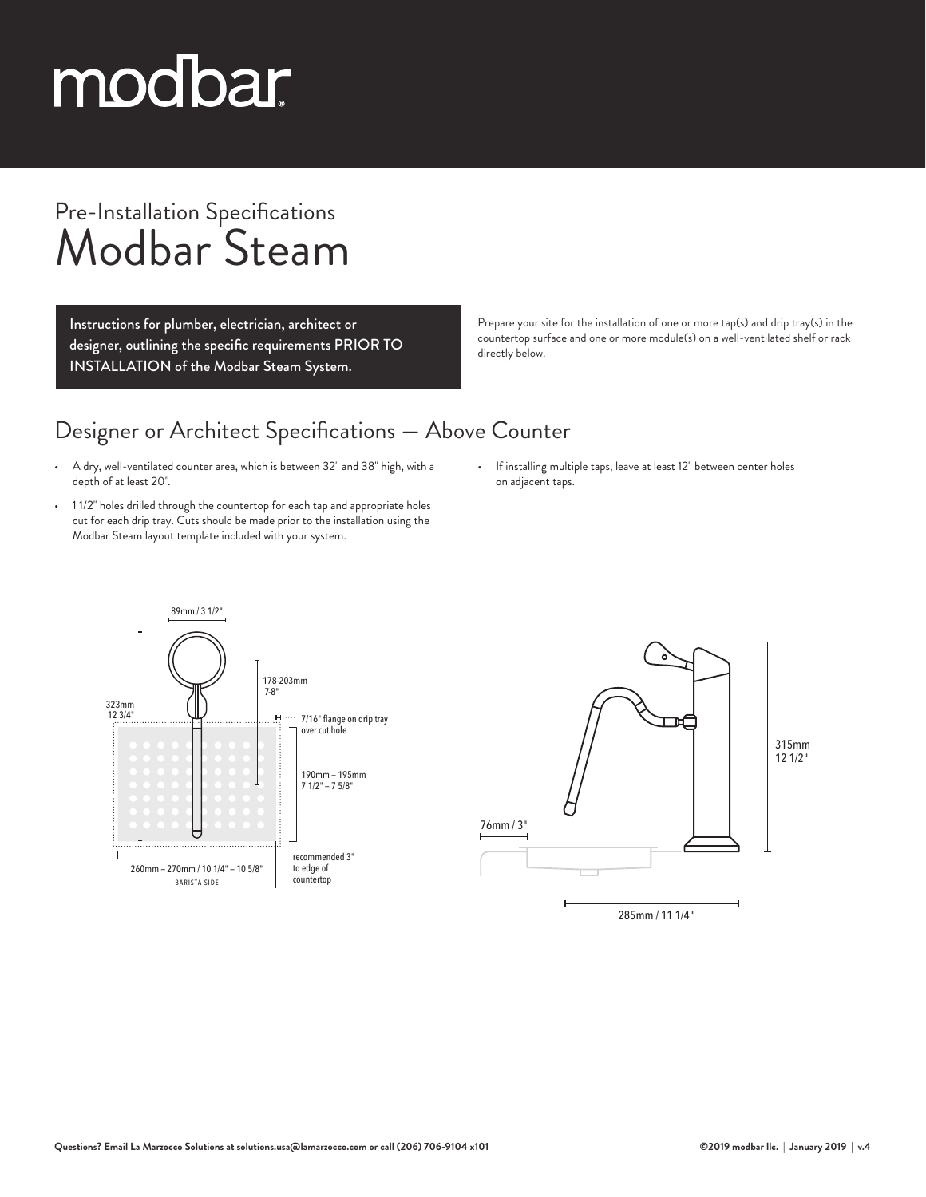# modbar

### Pre-Installation Specifications Modbar Steam

Instructions for plumber, electrician, architect or designer, outlining the specific requirements PRIOR TO INSTALLATION of the Modbar Steam System.

Prepare your site for the installation of one or more tap(s) and drip tray(s) in the countertop surface and one or more module(s) on a well-ventilated shelf or rack directly below.

#### Designer or Architect Specifications — Above Counter

- A dry, well-ventilated counter area, which is between 32" and 38" high, with a depth of at least 20".
- 1 1/2" holes drilled through the countertop for each tap and appropriate holes cut for each drip tray. Cuts should be made prior to the installation using the Modbar Steam layout template included with your system.
- If installing multiple taps, leave at least 12" between center holes on adjacent taps.

285mm / 11 1/4"

∟™



315mm 12 1/2"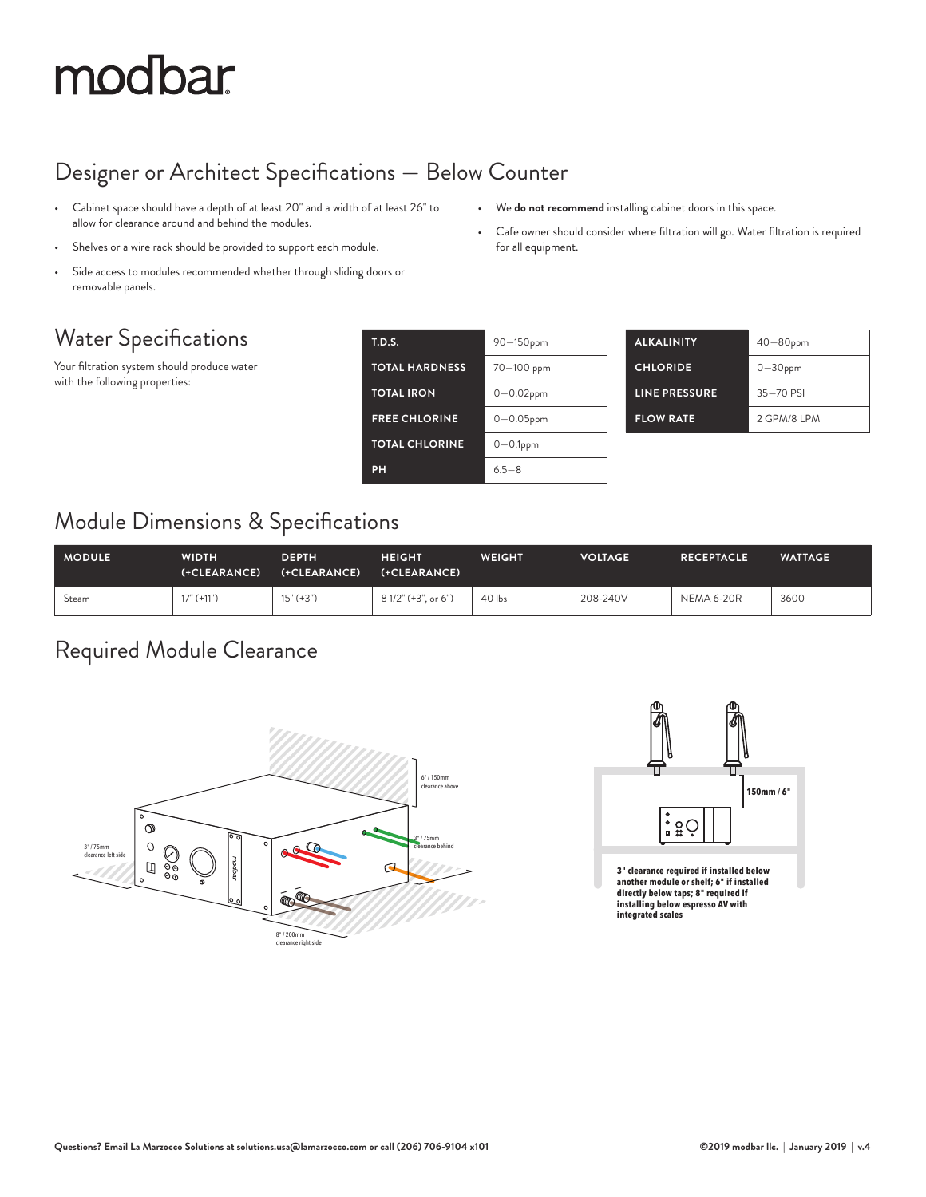## modbar

#### Designer or Architect Specifications — Below Counter

- Cabinet space should have a depth of at least 20" and a width of at least 26" to allow for clearance around and behind the modules.
- Shelves or a wire rack should be provided to support each module.
- Side access to modules recommended whether through sliding doors or removable panels.

#### Water Specifications

Your filtration system should produce water with the following properties:

| <b>T.D.S.</b>         | 90-150ppm      |
|-----------------------|----------------|
| <b>TOTAL HARDNESS</b> | 70-100 ppm     |
| <b>TOTAL IRON</b>     | $0 - 0.02$ ppm |
| <b>FREE CHLORINE</b>  | $0 - 0.05$ ppm |
| <b>TOTAL CHLORINE</b> | $0-0.1$ ppm    |
| PH                    | $65 - 8$       |

| <b>ALKALINITY</b>    | $40 - 80$ ppm |
|----------------------|---------------|
| <b>CHLORIDE</b>      | $0-30$ ppm    |
| <b>LINE PRESSURE</b> | $35 - 70$ PSI |
| <b>FLOW RATE</b>     | 2 GPM/8 IPM   |

#### Module Dimensions & Specifications

| <b>MODULE</b> | WIDTH<br>(+CLEARANCE) | <b>DEPTH</b><br>(+CLEARANCE) | <b>HEIGHT</b><br>(+CLEARANCE) | <b>WEIGHT</b> | <b>VOLTAGE</b> | <b>RECEPTACLE</b> | <b>WATTAGE</b> |
|---------------|-----------------------|------------------------------|-------------------------------|---------------|----------------|-------------------|----------------|
| Steam         | $17" (+11")$          | $15" (+3")$                  | 8 1/2" (+3", or 6")           | $40$ lbs      | 208-240V       | NEMA 6-20R        | 3600           |

#### Required Module Clearance





**directly below taps; 8" required if installing below espresso AV with integrated scales**



• We **do not recommend** installing cabinet doors in this space.

• Cafe owner should consider where filtration will go. Water filtration is required